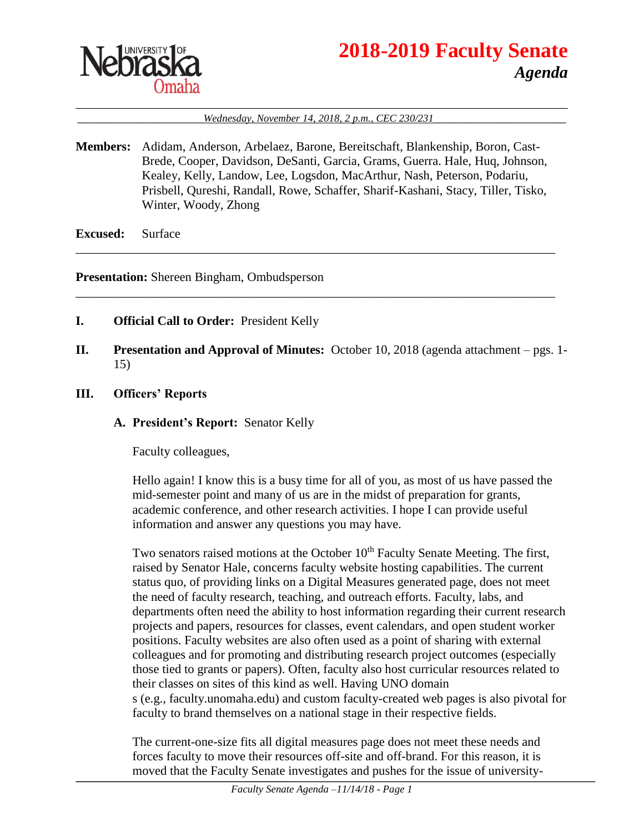

# **2018-2019 Faculty Senate** *Agenda*

#### \_\_\_\_\_\_\_\_\_\_\_\_\_\_\_\_\_\_\_\_\_\_\_\_\_\_\_\_\_\_\_\_\_\_\_\_\_\_\_\_\_\_\_\_\_\_\_\_\_\_\_\_\_\_\_\_\_\_\_\_\_\_\_\_\_\_\_\_\_\_\_\_\_\_\_\_\_\_ \_\_\_\_\_\_\_\_\_\_\_\_\_\_\_\_\_\_\_\_*Wednesday, November 14, 2018, 2 p.m., CEC 230/231*\_\_\_\_\_\_\_\_\_\_\_\_\_\_\_\_\_\_\_\_\_

**Members:** Adidam, Anderson, Arbelaez, Barone, Bereitschaft, Blankenship, Boron, Cast-Brede, Cooper, Davidson, DeSanti, Garcia, Grams, Guerra. Hale, Huq, Johnson, Kealey, Kelly, Landow, Lee, Logsdon, MacArthur, Nash, Peterson, Podariu, Prisbell, Qureshi, Randall, Rowe, Schaffer, Sharif-Kashani, Stacy, Tiller, Tisko, Winter, Woody, Zhong

\_\_\_\_\_\_\_\_\_\_\_\_\_\_\_\_\_\_\_\_\_\_\_\_\_\_\_\_\_\_\_\_\_\_\_\_\_\_\_\_\_\_\_\_\_\_\_\_\_\_\_\_\_\_\_\_\_\_\_\_\_\_\_\_\_\_\_\_\_\_\_\_\_\_\_\_

\_\_\_\_\_\_\_\_\_\_\_\_\_\_\_\_\_\_\_\_\_\_\_\_\_\_\_\_\_\_\_\_\_\_\_\_\_\_\_\_\_\_\_\_\_\_\_\_\_\_\_\_\_\_\_\_\_\_\_\_\_\_\_\_\_\_\_\_\_\_\_\_\_\_\_\_

**Excused:** Surface

**Presentation:** Shereen Bingham, Ombudsperson

- **I. Official Call to Order:** President Kelly
- **II. Presentation and Approval of Minutes:** October 10, 2018 (agenda attachment pgs. 1- 15)
- **III. Officers' Reports**

#### **A. President's Report:** Senator Kelly

Faculty colleagues,

Hello again! I know this is a busy time for all of you, as most of us have passed the mid-semester point and many of us are in the midst of preparation for grants, academic conference, and other research activities. I hope I can provide useful information and answer any questions you may have.

Two senators raised motions at the October 10<sup>th</sup> Faculty Senate Meeting. The first, raised by Senator Hale, concerns faculty website hosting capabilities. The current status quo, of providing links on a Digital Measures generated page, does not meet the need of faculty research, teaching, and outreach efforts. Faculty, labs, and departments often need the ability to host information regarding their current research projects and papers, resources for classes, event calendars, and open student worker positions. Faculty websites are also often used as a point of sharing with external colleagues and for promoting and distributing research project outcomes (especially those tied to grants or papers). Often, faculty also host curricular resources related to their classes on sites of this kind as well. Having UNO domain s (e.g., faculty.unomaha.edu) and custom faculty-created web pages is also pivotal for faculty to brand themselves on a national stage in their respective fields.

The current-one-size fits all digital measures page does not meet these needs and forces faculty to move their resources off-site and off-brand. For this reason, it is moved that the Faculty Senate investigates and pushes for the issue of university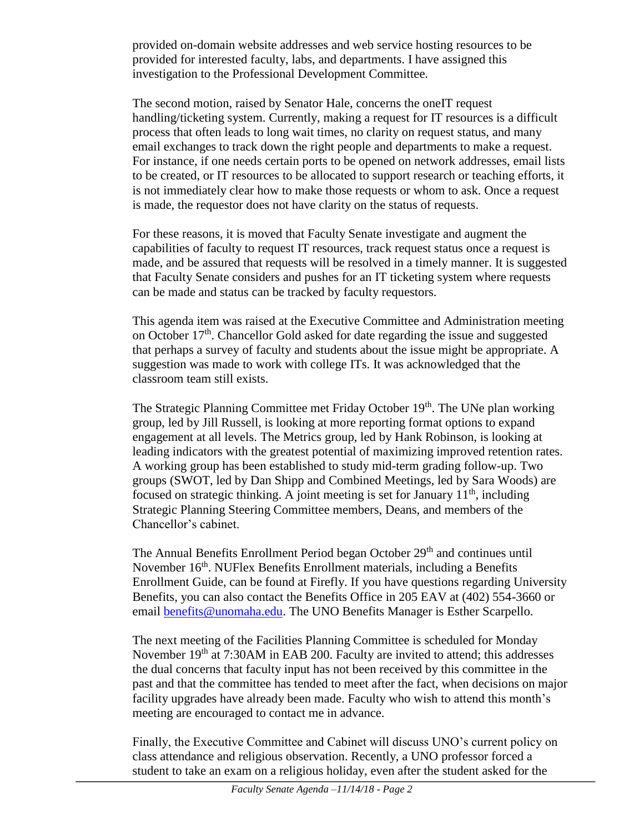provided on-domain website addresses and web service hosting resources to be provided for interested faculty, labs, and departments. I have assigned this investigation to the Professional Development Committee.

The second motion, raised by Senator Hale, concerns the oneIT request handling/ticketing system. Currently, making a request for IT resources is a difficult process that often leads to long wait times, no clarity on request status, and many email exchanges to track down the right people and departments to make a request. For instance, if one needs certain ports to be opened on network addresses, email lists to be created, or IT resources to be allocated to support research or teaching efforts, it is not immediately clear how to make those requests or whom to ask. Once a request is made, the requestor does not have clarity on the status of requests.

For these reasons, it is moved that Faculty Senate investigate and augment the capabilities of faculty to request IT resources, track request status once a request is made, and be assured that requests will be resolved in a timely manner. It is suggested that Faculty Senate considers and pushes for an IT ticketing system where requests can be made and status can be tracked by faculty requestors.

This agenda item was raised at the Executive Committee and Administration meeting on October  $17<sup>th</sup>$ . Chancellor Gold asked for date regarding the issue and suggested that perhaps a survey of faculty and students about the issue might be appropriate. A suggestion was made to work with college ITs. It was acknowledged that the classroom team still exists.

The Strategic Planning Committee met Friday October 19th. The UNe plan working group, led by Jill Russell, is looking at more reporting format options to expand engagement at all levels. The Metrics group, led by Hank Robinson, is looking at leading indicators with the greatest potential of maximizing improved retention rates. A working group has been established to study mid-term grading follow-up. Two groups (SWOT, led by Dan Shipp and Combined Meetings, led by Sara Woods) are focused on strategic thinking. A joint meeting is set for January  $11<sup>th</sup>$ , including Strategic Planning Steering Committee members, Deans, and members of the Chancellor's cabinet.

The Annual Benefits Enrollment Period began October 29<sup>th</sup> and continues until November 16<sup>th</sup>. NUFlex Benefits Enrollment materials, including a Benefits Enrollment Guide, can be found at Firefly. If you have questions regarding University Benefits, you can also contact the Benefits Office in 205 EAV at (402) 554-3660 or email [benefits@unomaha.edu.](mailto:benefits@unomaha.edu) The UNO Benefits Manager is Esther Scarpello.

The next meeting of the Facilities Planning Committee is scheduled for Monday November 19<sup>th</sup> at 7:30AM in EAB 200. Faculty are invited to attend; this addresses the dual concerns that faculty input has not been received by this committee in the past and that the committee has tended to meet after the fact, when decisions on major facility upgrades have already been made. Faculty who wish to attend this month's meeting are encouraged to contact me in advance.

Finally, the Executive Committee and Cabinet will discuss UNO's current policy on class attendance and religious observation. Recently, a UNO professor forced a student to take an exam on a religious holiday, even after the student asked for the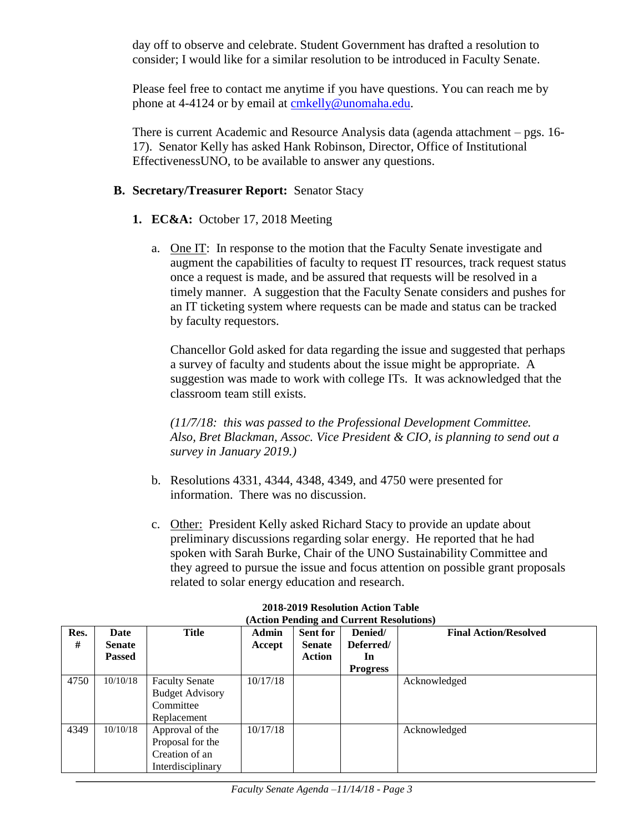day off to observe and celebrate. Student Government has drafted a resolution to consider; I would like for a similar resolution to be introduced in Faculty Senate.

Please feel free to contact me anytime if you have questions. You can reach me by phone at 4-4124 or by email at [cmkelly@unomaha.edu.](mailto:cmkelly@unomaha.edu)

There is current Academic and Resource Analysis data (agenda attachment – pgs. 16- 17). Senator Kelly has asked Hank Robinson, Director, Office of Institutional EffectivenessUNO, to be available to answer any questions.

# **B. Secretary/Treasurer Report:** Senator Stacy

- **1. EC&A:** October 17, 2018 Meeting
	- a. One IT: In response to the motion that the Faculty Senate investigate and augment the capabilities of faculty to request IT resources, track request status once a request is made, and be assured that requests will be resolved in a timely manner. A suggestion that the Faculty Senate considers and pushes for an IT ticketing system where requests can be made and status can be tracked by faculty requestors.

Chancellor Gold asked for data regarding the issue and suggested that perhaps a survey of faculty and students about the issue might be appropriate. A suggestion was made to work with college ITs. It was acknowledged that the classroom team still exists.

*(11/7/18: this was passed to the Professional Development Committee. Also, Bret Blackman, Assoc. Vice President & CIO, is planning to send out a survey in January 2019.)*

- b. Resolutions 4331, 4344, 4348, 4349, and 4750 were presented for information. There was no discussion.
- c. Other: President Kelly asked Richard Stacy to provide an update about preliminary discussions regarding solar energy. He reported that he had spoken with Sarah Burke, Chair of the UNO Sustainability Committee and they agreed to pursue the issue and focus attention on possible grant proposals related to solar energy education and research.

| Res.<br># | Date<br><b>Senate</b><br><b>Passed</b> | <b>Title</b>                                                                | <b>Admin</b><br>Accept | Sent for<br><b>Senate</b><br><b>Action</b> | Denied/<br>Deferred/<br>In<br><b>Progress</b> | <b>Final Action/Resolved</b> |
|-----------|----------------------------------------|-----------------------------------------------------------------------------|------------------------|--------------------------------------------|-----------------------------------------------|------------------------------|
| 4750      | 10/10/18                               | <b>Faculty Senate</b><br><b>Budget Advisory</b><br>Committee<br>Replacement | 10/17/18               |                                            |                                               | Acknowledged                 |
| 4349      | 10/10/18                               | Approval of the<br>Proposal for the<br>Creation of an<br>Interdisciplinary  | 10/17/18               |                                            |                                               | Acknowledged                 |

#### **2018-2019 Resolution Action Table (Action Pending and Current Resolutions)**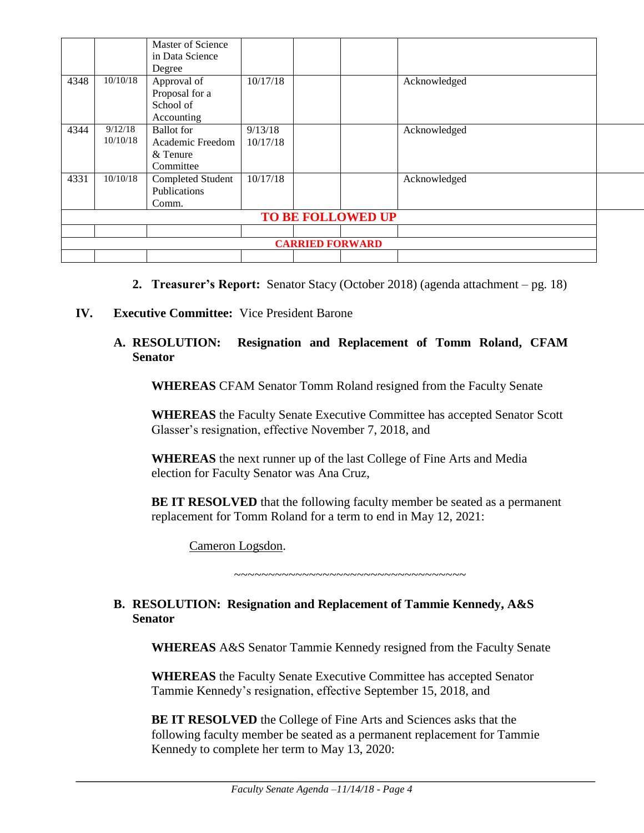|      |          | Master of Science |          |                        |                   |              |  |
|------|----------|-------------------|----------|------------------------|-------------------|--------------|--|
|      |          | in Data Science   |          |                        |                   |              |  |
|      |          | Degree            |          |                        |                   |              |  |
| 4348 | 10/10/18 | Approval of       | 10/17/18 |                        |                   | Acknowledged |  |
|      |          | Proposal for a    |          |                        |                   |              |  |
|      |          | School of         |          |                        |                   |              |  |
|      |          | Accounting        |          |                        |                   |              |  |
| 4344 | 9/12/18  | <b>Ballot</b> for | 9/13/18  |                        |                   | Acknowledged |  |
|      | 10/10/18 | Academic Freedom  | 10/17/18 |                        |                   |              |  |
|      |          | & Tenure          |          |                        |                   |              |  |
|      |          | Committee         |          |                        |                   |              |  |
| 4331 | 10/10/18 | Completed Student | 10/17/18 |                        |                   | Acknowledged |  |
|      |          | Publications      |          |                        |                   |              |  |
|      |          | Comm.             |          |                        |                   |              |  |
|      |          |                   |          |                        | TO BE FOLLOWED UP |              |  |
|      |          |                   |          |                        |                   |              |  |
|      |          |                   |          | <b>CARRIED FORWARD</b> |                   |              |  |
|      |          |                   |          |                        |                   |              |  |

- **2. Treasurer's Report:** Senator Stacy (October 2018) (agenda attachment pg. 18)
- **IV. Executive Committee:** Vice President Barone

#### **A. RESOLUTION: Resignation and Replacement of Tomm Roland, CFAM Senator**

**WHEREAS** CFAM Senator Tomm Roland resigned from the Faculty Senate

**WHEREAS** the Faculty Senate Executive Committee has accepted Senator Scott Glasser's resignation, effective November 7, 2018, and

**WHEREAS** the next runner up of the last College of Fine Arts and Media election for Faculty Senator was Ana Cruz,

**BE IT RESOLVED** that the following faculty member be seated as a permanent replacement for Tomm Roland for a term to end in May 12, 2021:

Cameron Logsdon.

~~~~~~~~~~~~~~~~~~~~~~~~~~~~~~~~~~

#### **B. RESOLUTION: Resignation and Replacement of Tammie Kennedy, A&S Senator**

**WHEREAS** A&S Senator Tammie Kennedy resigned from the Faculty Senate

**WHEREAS** the Faculty Senate Executive Committee has accepted Senator Tammie Kennedy's resignation, effective September 15, 2018, and

**BE IT RESOLVED** the College of Fine Arts and Sciences asks that the following faculty member be seated as a permanent replacement for Tammie Kennedy to complete her term to May 13, 2020: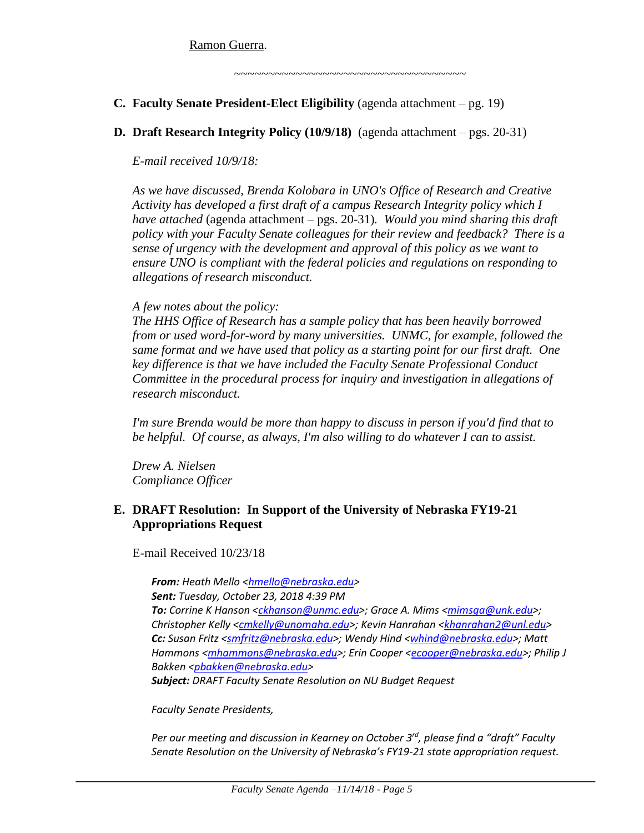Ramon Guerra.

~~~~~~~~~~~~~~~~~~~~~~~~~~~~~~~~~~

- **C. Faculty Senate President-Elect Eligibility** (agenda attachment pg. 19)
- **D. Draft Research Integrity Policy (10/9/18)** (agenda attachment pgs. 20-31)

*E-mail received 10/9/18:*

*As we have discussed, Brenda Kolobara in UNO's Office of Research and Creative Activity has developed a first draft of a campus Research Integrity policy which I have attached* (agenda attachment – pgs. 20-31)*. Would you mind sharing this draft policy with your Faculty Senate colleagues for their review and feedback? There is a sense of urgency with the development and approval of this policy as we want to ensure UNO is compliant with the federal policies and regulations on responding to allegations of research misconduct.*

# *A few notes about the policy:*

*The HHS Office of Research has a sample policy that has been heavily borrowed from or used word-for-word by many universities. UNMC, for example, followed the same format and we have used that policy as a starting point for our first draft. One key difference is that we have included the Faculty Senate Professional Conduct Committee in the procedural process for inquiry and investigation in allegations of research misconduct.*

*I'm sure Brenda would be more than happy to discuss in person if you'd find that to be helpful. Of course, as always, I'm also willing to do whatever I can to assist.*

*Drew A. Nielsen Compliance Officer*

#### **E. DRAFT Resolution: In Support of the University of Nebraska FY19-21 Appropriations Request**

E-mail Received 10/23/18

*From: Heath Mello [<hmello@nebraska.edu>](mailto:hmello@nebraska.edu) Sent: Tuesday, October 23, 2018 4:39 PM To: Corrine K Hanson [<ckhanson@unmc.edu>](mailto:ckhanson@unmc.edu); Grace A. Mims [<mimsga@unk.edu>](mailto:mimsga@unk.edu); Christopher Kelly [<cmkelly@unomaha.edu>](mailto:cmkelly@unomaha.edu); Kevin Hanrahan [<khanrahan2@unl.edu>](mailto:khanrahan2@unl.edu) Cc: Susan Fritz [<smfritz@nebraska.edu>](mailto:smfritz@nebraska.edu); Wendy Hind [<whind@nebraska.edu>](mailto:whind@nebraska.edu); Matt Hammons [<mhammons@nebraska.edu>](mailto:mhammons@nebraska.edu); Erin Cooper [<ecooper@nebraska.edu>](mailto:ecooper@nebraska.edu); Philip J Bakken [<pbakken@nebraska.edu>](mailto:pbakken@nebraska.edu)*

*Subject: DRAFT Faculty Senate Resolution on NU Budget Request*

#### *Faculty Senate Presidents,*

*Per our meeting and discussion in Kearney on October 3rd, please find a "draft" Faculty Senate Resolution on the University of Nebraska's FY19-21 state appropriation request.*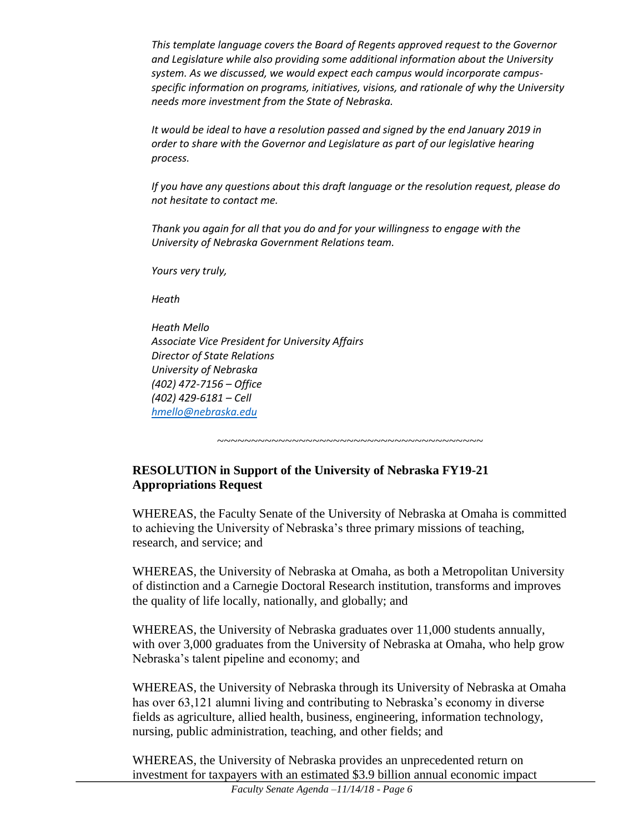*This template language covers the Board of Regents approved request to the Governor and Legislature while also providing some additional information about the University system. As we discussed, we would expect each campus would incorporate campusspecific information on programs, initiatives, visions, and rationale of why the University needs more investment from the State of Nebraska.*

*It would be ideal to have a resolution passed and signed by the end January 2019 in order to share with the Governor and Legislature as part of our legislative hearing process.*

*If you have any questions about this draft language or the resolution request, please do not hesitate to contact me.*

*Thank you again for all that you do and for your willingness to engage with the University of Nebraska Government Relations team.*

*Yours very truly,*

*Heath*

*Heath Mello Associate Vice President for University Affairs Director of State Relations University of Nebraska (402) 472-7156 – Office (402) 429-6181 – Cell [hmello@nebraska.edu](mailto:hmello@nebraska.edu)*

~~~~~~~~~~~~~~~~~~~~~~~~~~~~~~~~~~~~~~~

# **RESOLUTION in Support of the University of Nebraska FY19-21 Appropriations Request**

WHEREAS, the Faculty Senate of the University of Nebraska at Omaha is committed to achieving the University of Nebraska's three primary missions of teaching, research, and service; and

WHEREAS, the University of Nebraska at Omaha, as both a Metropolitan University of distinction and a Carnegie Doctoral Research institution, transforms and improves the quality of life locally, nationally, and globally; and

WHEREAS, the University of Nebraska graduates over 11,000 students annually, with over 3,000 graduates from the University of Nebraska at Omaha, who help grow Nebraska's talent pipeline and economy; and

WHEREAS, the University of Nebraska through its University of Nebraska at Omaha has over 63,121 alumni living and contributing to Nebraska's economy in diverse fields as agriculture, allied health, business, engineering, information technology, nursing, public administration, teaching, and other fields; and

WHEREAS, the University of Nebraska provides an unprecedented return on investment for taxpayers with an estimated \$3.9 billion annual economic impact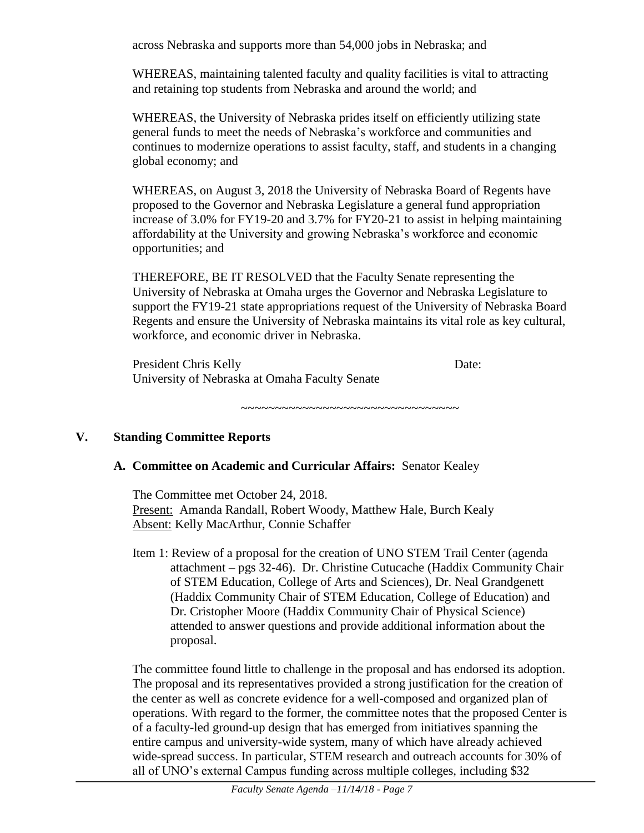across Nebraska and supports more than 54,000 jobs in Nebraska; and

WHEREAS, maintaining talented faculty and quality facilities is vital to attracting and retaining top students from Nebraska and around the world; and

WHEREAS, the University of Nebraska prides itself on efficiently utilizing state general funds to meet the needs of Nebraska's workforce and communities and continues to modernize operations to assist faculty, staff, and students in a changing global economy; and

WHEREAS, on August 3, 2018 the University of Nebraska Board of Regents have proposed to the Governor and Nebraska Legislature a general fund appropriation increase of 3.0% for FY19-20 and 3.7% for FY20-21 to assist in helping maintaining affordability at the University and growing Nebraska's workforce and economic opportunities; and

THEREFORE, BE IT RESOLVED that the Faculty Senate representing the University of Nebraska at Omaha urges the Governor and Nebraska Legislature to support the FY19-21 state appropriations request of the University of Nebraska Board Regents and ensure the University of Nebraska maintains its vital role as key cultural, workforce, and economic driver in Nebraska.

President Chris Kelly Date: University of Nebraska at Omaha Faculty Senate

~~~~~~~~~~~~~~~~~~~~~~~~~~~~~~~~~

#### **V. Standing Committee Reports**

#### **A. Committee on Academic and Curricular Affairs:** Senator Kealey

The Committee met October 24, 2018. Present: Amanda Randall, Robert Woody, Matthew Hale, Burch Kealy Absent: Kelly MacArthur, Connie Schaffer

Item 1: Review of a proposal for the creation of UNO STEM Trail Center (agenda attachment – pgs 32-46). Dr. Christine Cutucache (Haddix Community Chair of STEM Education, College of Arts and Sciences), Dr. Neal Grandgenett (Haddix Community Chair of STEM Education, College of Education) and Dr. Cristopher Moore (Haddix Community Chair of Physical Science) attended to answer questions and provide additional information about the proposal.

The committee found little to challenge in the proposal and has endorsed its adoption. The proposal and its representatives provided a strong justification for the creation of the center as well as concrete evidence for a well-composed and organized plan of operations. With regard to the former, the committee notes that the proposed Center is of a faculty-led ground-up design that has emerged from initiatives spanning the entire campus and university-wide system, many of which have already achieved wide-spread success. In particular, STEM research and outreach accounts for 30% of all of UNO's external Campus funding across multiple colleges, including \$32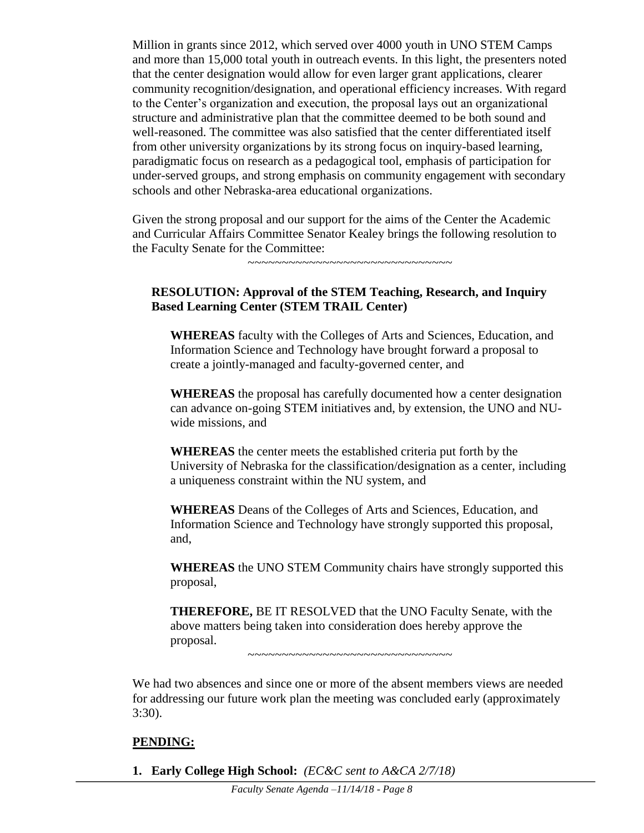Million in grants since 2012, which served over 4000 youth in UNO STEM Camps and more than 15,000 total youth in outreach events. In this light, the presenters noted that the center designation would allow for even larger grant applications, clearer community recognition/designation, and operational efficiency increases. With regard to the Center's organization and execution, the proposal lays out an organizational structure and administrative plan that the committee deemed to be both sound and well-reasoned. The committee was also satisfied that the center differentiated itself from other university organizations by its strong focus on inquiry-based learning, paradigmatic focus on research as a pedagogical tool, emphasis of participation for under-served groups, and strong emphasis on community engagement with secondary schools and other Nebraska-area educational organizations.

Given the strong proposal and our support for the aims of the Center the Academic and Curricular Affairs Committee Senator Kealey brings the following resolution to the Faculty Senate for the Committee:

~~~~~~~~~~~~~~~~~~~~~~~~~~~~~~~~

#### **RESOLUTION: Approval of the STEM Teaching, Research, and Inquiry Based Learning Center (STEM TRAIL Center)**

**WHEREAS** faculty with the Colleges of Arts and Sciences, Education, and Information Science and Technology have brought forward a proposal to create a jointly-managed and faculty-governed center, and

**WHEREAS** the proposal has carefully documented how a center designation can advance on-going STEM initiatives and, by extension, the UNO and NUwide missions, and

**WHEREAS** the center meets the established criteria put forth by the University of Nebraska for the classification/designation as a center, including a uniqueness constraint within the NU system, and

**WHEREAS** Deans of the Colleges of Arts and Sciences, Education, and Information Science and Technology have strongly supported this proposal, and,

**WHEREAS** the UNO STEM Community chairs have strongly supported this proposal,

**THEREFORE,** BE IT RESOLVED that the UNO Faculty Senate, with the above matters being taken into consideration does hereby approve the proposal.

~~~~~~~~~~~~~~~~~~~~~~~~~~~~~~

We had two absences and since one or more of the absent members views are needed for addressing our future work plan the meeting was concluded early (approximately 3:30).

#### **PENDING:**

**1. Early College High School:** *(EC&C sent to A&CA 2/7/18)*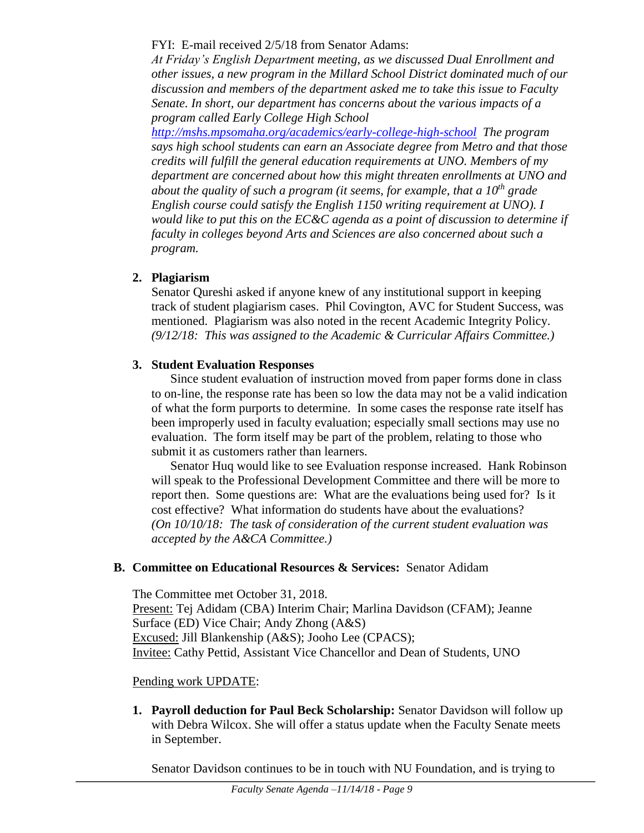FYI: E-mail received 2/5/18 from Senator Adams:

*At Friday's English Department meeting, as we discussed Dual Enrollment and other issues, a new program in the Millard School District dominated much of our discussion and members of the department asked me to take this issue to Faculty Senate. In short, our department has concerns about the various impacts of a program called Early College High School* 

*<http://mshs.mpsomaha.org/academics/early-college-high-school> The program says high school students can earn an Associate degree from Metro and that those credits will fulfill the general education requirements at UNO. Members of my department are concerned about how this might threaten enrollments at UNO and about the quality of such a program (it seems, for example, that a 10th grade English course could satisfy the English 1150 writing requirement at UNO). I would like to put this on the EC&C agenda as a point of discussion to determine if faculty in colleges beyond Arts and Sciences are also concerned about such a program.*

# **2. Plagiarism**

Senator Qureshi asked if anyone knew of any institutional support in keeping track of student plagiarism cases. Phil Covington, AVC for Student Success, was mentioned. Plagiarism was also noted in the recent Academic Integrity Policy. *(9/12/18: This was assigned to the Academic & Curricular Affairs Committee.)* 

# **3. Student Evaluation Responses**

Since student evaluation of instruction moved from paper forms done in class to on-line, the response rate has been so low the data may not be a valid indication of what the form purports to determine. In some cases the response rate itself has been improperly used in faculty evaluation; especially small sections may use no evaluation. The form itself may be part of the problem, relating to those who submit it as customers rather than learners.

Senator Huq would like to see Evaluation response increased. Hank Robinson will speak to the Professional Development Committee and there will be more to report then. Some questions are: What are the evaluations being used for? Is it cost effective? What information do students have about the evaluations? *(On 10/10/18: The task of consideration of the current student evaluation was accepted by the A&CA Committee.)*

#### **B. Committee on Educational Resources & Services:** Senator Adidam

The Committee met October 31, 2018. Present: Tej Adidam (CBA) Interim Chair; Marlina Davidson (CFAM); Jeanne Surface (ED) Vice Chair; Andy Zhong (A&S) Excused: Jill Blankenship (A&S); Jooho Lee (CPACS); Invitee: Cathy Pettid, Assistant Vice Chancellor and Dean of Students, UNO

#### Pending work UPDATE:

**1. Payroll deduction for Paul Beck Scholarship:** Senator Davidson will follow up with Debra Wilcox. She will offer a status update when the Faculty Senate meets in September.

Senator Davidson continues to be in touch with NU Foundation, and is trying to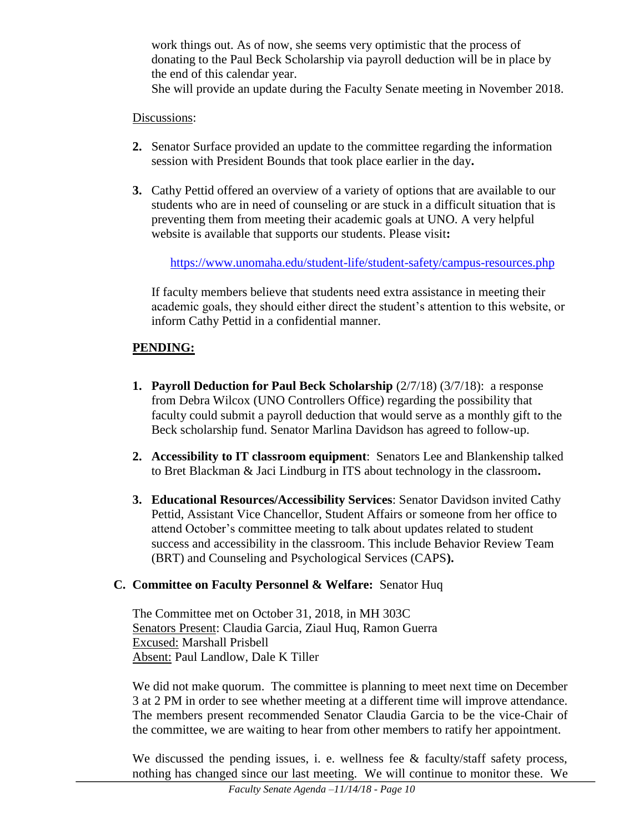work things out. As of now, she seems very optimistic that the process of donating to the Paul Beck Scholarship via payroll deduction will be in place by the end of this calendar year. She will provide an update during the Faculty Senate meeting in November 2018.

#### Discussions:

- **2.** Senator Surface provided an update to the committee regarding the information session with President Bounds that took place earlier in the day**.**
- **3.** Cathy Pettid offered an overview of a variety of options that are available to our students who are in need of counseling or are stuck in a difficult situation that is preventing them from meeting their academic goals at UNO. A very helpful website is available that supports our students. Please visit**:**

<https://www.unomaha.edu/student-life/student-safety/campus-resources.php>

If faculty members believe that students need extra assistance in meeting their academic goals, they should either direct the student's attention to this website, or inform Cathy Pettid in a confidential manner.

# **PENDING:**

- **1. Payroll Deduction for Paul Beck Scholarship**  $(2/7/18)$   $(3/7/18)$ : a response from Debra Wilcox (UNO Controllers Office) regarding the possibility that faculty could submit a payroll deduction that would serve as a monthly gift to the Beck scholarship fund. Senator Marlina Davidson has agreed to follow-up.
- **2. Accessibility to IT classroom equipment**: Senators Lee and Blankenship talked to Bret Blackman & Jaci Lindburg in ITS about technology in the classroom**.**
- **3. Educational Resources/Accessibility Services**: Senator Davidson invited Cathy Pettid, Assistant Vice Chancellor, Student Affairs or someone from her office to attend October's committee meeting to talk about updates related to student success and accessibility in the classroom. This include Behavior Review Team (BRT) and Counseling and Psychological Services (CAPS**).**

#### **C. Committee on Faculty Personnel & Welfare:** Senator Huq

The Committee met on October 31, 2018, in MH 303C Senators Present: Claudia Garcia, Ziaul Huq, Ramon Guerra Excused: Marshall Prisbell Absent: Paul Landlow, Dale K Tiller

We did not make quorum. The committee is planning to meet next time on December 3 at 2 PM in order to see whether meeting at a different time will improve attendance. The members present recommended Senator Claudia Garcia to be the vice-Chair of the committee, we are waiting to hear from other members to ratify her appointment.

We discussed the pending issues, i. e. wellness fee  $\&$  faculty/staff safety process, nothing has changed since our last meeting. We will continue to monitor these. We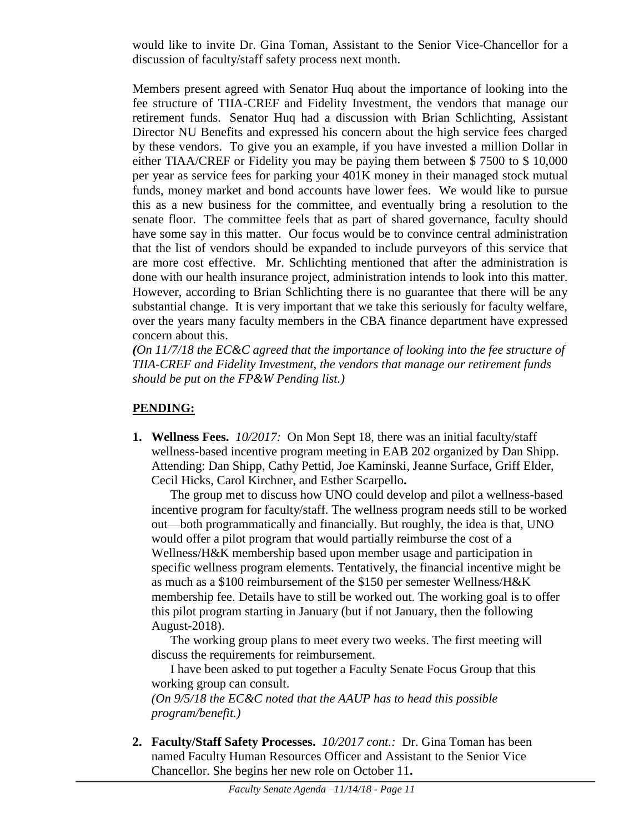would like to invite Dr. Gina Toman, Assistant to the Senior Vice-Chancellor for a discussion of faculty/staff safety process next month.

Members present agreed with Senator Huq about the importance of looking into the fee structure of TIIA-CREF and Fidelity Investment, the vendors that manage our retirement funds. Senator Huq had a discussion with Brian Schlichting, Assistant Director NU Benefits and expressed his concern about the high service fees charged by these vendors. To give you an example, if you have invested a million Dollar in either TIAA/CREF or Fidelity you may be paying them between \$ 7500 to \$ 10,000 per year as service fees for parking your 401K money in their managed stock mutual funds, money market and bond accounts have lower fees. We would like to pursue this as a new business for the committee, and eventually bring a resolution to the senate floor. The committee feels that as part of shared governance, faculty should have some say in this matter. Our focus would be to convince central administration that the list of vendors should be expanded to include purveyors of this service that are more cost effective. Mr. Schlichting mentioned that after the administration is done with our health insurance project, administration intends to look into this matter. However, according to Brian Schlichting there is no guarantee that there will be any substantial change. It is very important that we take this seriously for faculty welfare, over the years many faculty members in the CBA finance department have expressed concern about this.

*(On 11/7/18 the EC&C agreed that the importance of looking into the fee structure of TIIA-CREF and Fidelity Investment, the vendors that manage our retirement funds should be put on the FP&W Pending list.)*

# **PENDING:**

**1. Wellness Fees.** *10/2017:*On Mon Sept 18, there was an initial faculty/staff wellness-based incentive program meeting in EAB 202 organized by Dan Shipp. Attending: Dan Shipp, Cathy Pettid, Joe Kaminski, Jeanne Surface, Griff Elder, Cecil Hicks, Carol Kirchner, and Esther Scarpello**.**

The group met to discuss how UNO could develop and pilot a wellness-based incentive program for faculty/staff. The wellness program needs still to be worked out—both programmatically and financially. But roughly, the idea is that, UNO would offer a pilot program that would partially reimburse the cost of a Wellness/H&K membership based upon member usage and participation in specific wellness program elements. Tentatively, the financial incentive might be as much as a \$100 reimbursement of the \$150 per semester Wellness/H&K membership fee. Details have to still be worked out. The working goal is to offer this pilot program starting in January (but if not January, then the following August-2018).

The working group plans to meet every two weeks. The first meeting will discuss the requirements for reimbursement.

I have been asked to put together a Faculty Senate Focus Group that this working group can consult.

*(On 9/5/18 the EC&C noted that the AAUP has to head this possible program/benefit.)*

**2. Faculty/Staff Safety Processes.** *10/2017 cont.:* Dr. Gina Toman has been named Faculty Human Resources Officer and Assistant to the Senior Vice Chancellor. She begins her new role on October 11**.**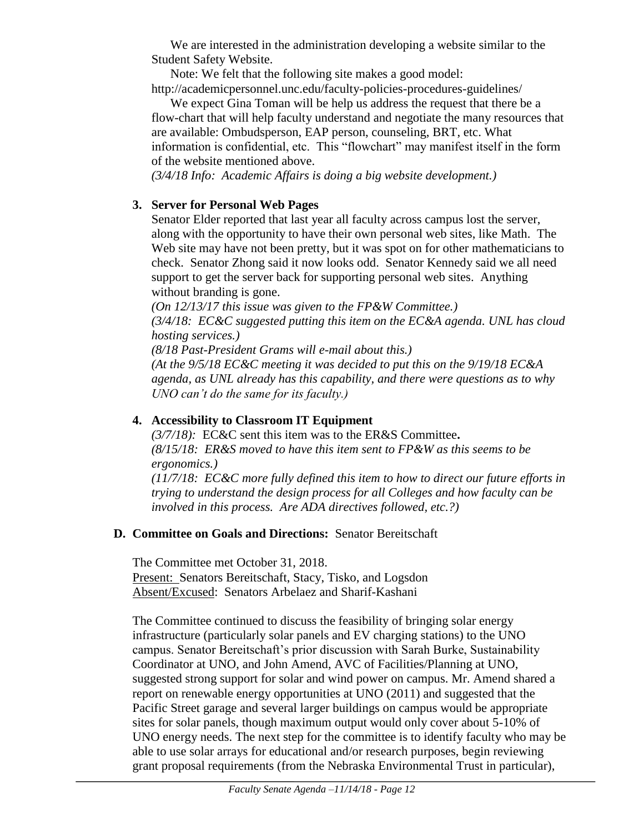We are interested in the administration developing a website similar to the Student Safety Website.

Note: We felt that the following site makes a good model: http://academicpersonnel.unc.edu/faculty-policies-procedures-guidelines/

We expect Gina Toman will be help us address the request that there be a flow-chart that will help faculty understand and negotiate the many resources that are available: Ombudsperson, EAP person, counseling, BRT, etc. What information is confidential, etc. This "flowchart" may manifest itself in the form of the website mentioned above.

*(3/4/18 Info: Academic Affairs is doing a big website development.)*

# **3. Server for Personal Web Pages**

Senator Elder reported that last year all faculty across campus lost the server, along with the opportunity to have their own personal web sites, like Math. The Web site may have not been pretty, but it was spot on for other mathematicians to check. Senator Zhong said it now looks odd. Senator Kennedy said we all need support to get the server back for supporting personal web sites. Anything without branding is gone.

*(On 12/13/17 this issue was given to the FP&W Committee.) (3/4/18: EC&C suggested putting this item on the EC&A agenda. UNL has cloud hosting services.) (8/18 Past-President Grams will e-mail about this.)*

*(At the 9/5/18 EC&C meeting it was decided to put this on the 9/19/18 EC&A agenda, as UNL already has this capability, and there were questions as to why UNO can't do the same for its faculty.)*

### **4. Accessibility to Classroom IT Equipment**

*(3/7/18):* EC&C sent this item was to the ER&S Committee**.**  *(8/15/18: ER&S moved to have this item sent to FP&W as this seems to be ergonomics.) (11/7/18: EC&C more fully defined this item to how to direct our future efforts in trying to understand the design process for all Colleges and how faculty can be involved in this process. Are ADA directives followed, etc.?)* 

#### **D. Committee on Goals and Directions:** Senator Bereitschaft

The Committee met October 31, 2018. Present: Senators Bereitschaft, Stacy, Tisko, and Logsdon Absent/Excused: Senators Arbelaez and Sharif-Kashani

The Committee continued to discuss the feasibility of bringing solar energy infrastructure (particularly solar panels and EV charging stations) to the UNO campus. Senator Bereitschaft's prior discussion with Sarah Burke, Sustainability Coordinator at UNO, and John Amend, AVC of Facilities/Planning at UNO, suggested strong support for solar and wind power on campus. Mr. Amend shared a report on renewable energy opportunities at UNO (2011) and suggested that the Pacific Street garage and several larger buildings on campus would be appropriate sites for solar panels, though maximum output would only cover about 5-10% of UNO energy needs. The next step for the committee is to identify faculty who may be able to use solar arrays for educational and/or research purposes, begin reviewing grant proposal requirements (from the Nebraska Environmental Trust in particular),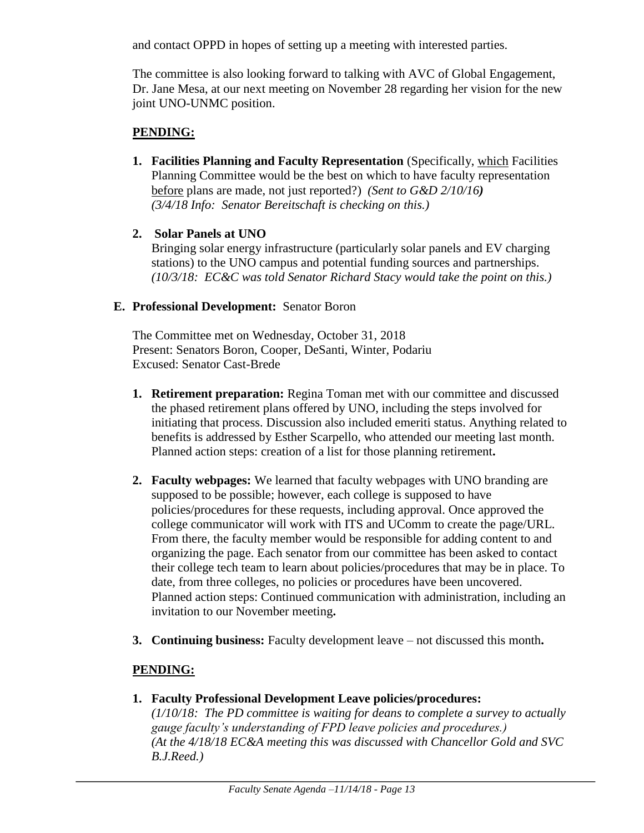and contact OPPD in hopes of setting up a meeting with interested parties.

The committee is also looking forward to talking with AVC of Global Engagement, Dr. Jane Mesa, at our next meeting on November 28 regarding her vision for the new joint UNO-UNMC position.

# **PENDING:**

- **1. Facilities Planning and Faculty Representation** (Specifically, which Facilities Planning Committee would be the best on which to have faculty representation before plans are made, not just reported?) *(Sent to G&D 2/10/16) (3/4/18 Info: Senator Bereitschaft is checking on this.)*
- **2. Solar Panels at UNO**

Bringing solar energy infrastructure (particularly solar panels and EV charging stations) to the UNO campus and potential funding sources and partnerships. *(10/3/18: EC&C was told Senator Richard Stacy would take the point on this.)*

# **E. Professional Development:** Senator Boron

The Committee met on Wednesday, October 31, 2018 Present: Senators Boron, Cooper, DeSanti, Winter, Podariu Excused: Senator Cast-Brede

- **1. Retirement preparation:** Regina Toman met with our committee and discussed the phased retirement plans offered by UNO, including the steps involved for initiating that process. Discussion also included emeriti status. Anything related to benefits is addressed by Esther Scarpello, who attended our meeting last month. Planned action steps: creation of a list for those planning retirement**.**
- **2. Faculty webpages:** We learned that faculty webpages with UNO branding are supposed to be possible; however, each college is supposed to have policies/procedures for these requests, including approval. Once approved the college communicator will work with ITS and UComm to create the page/URL. From there, the faculty member would be responsible for adding content to and organizing the page. Each senator from our committee has been asked to contact their college tech team to learn about policies/procedures that may be in place. To date, from three colleges, no policies or procedures have been uncovered. Planned action steps: Continued communication with administration, including an invitation to our November meeting**.**
- **3. Continuing business:** Faculty development leave not discussed this month**.**

# **PENDING:**

**1. Faculty Professional Development Leave policies/procedures:** 

*(1/10/18: The PD committee is waiting for deans to complete a survey to actually gauge faculty's understanding of FPD leave policies and procedures.) (At the 4/18/18 EC&A meeting this was discussed with Chancellor Gold and SVC B.J.Reed.)*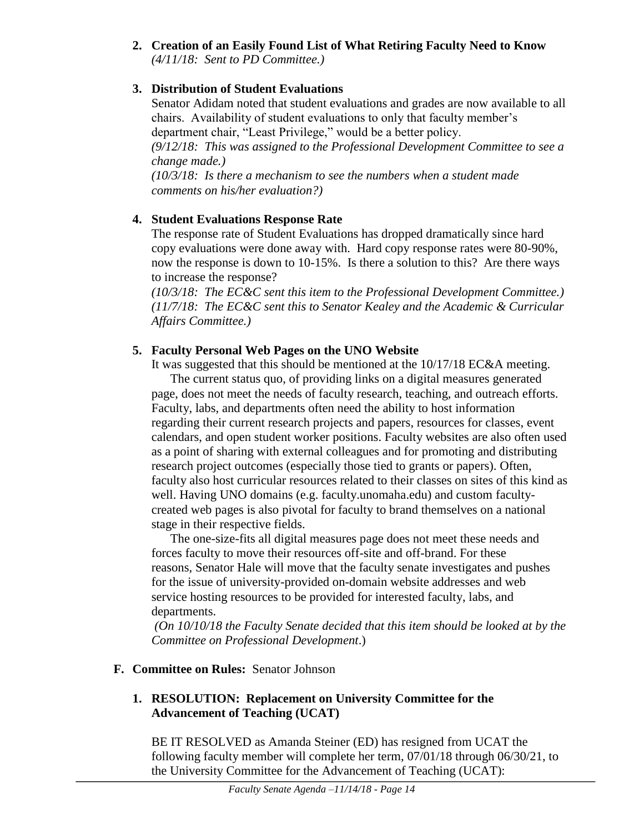**2. Creation of an Easily Found List of What Retiring Faculty Need to Know** *(4/11/18: Sent to PD Committee.)*

# **3. Distribution of Student Evaluations**

Senator Adidam noted that student evaluations and grades are now available to all chairs. Availability of student evaluations to only that faculty member's department chair, "Least Privilege," would be a better policy. *(9/12/18: This was assigned to the Professional Development Committee to see a change made.) (10/3/18: Is there a mechanism to see the numbers when a student made* 

*comments on his/her evaluation?)*

# **4. Student Evaluations Response Rate**

The response rate of Student Evaluations has dropped dramatically since hard copy evaluations were done away with. Hard copy response rates were 80-90%, now the response is down to 10-15%. Is there a solution to this? Are there ways to increase the response?

*(10/3/18: The EC&C sent this item to the Professional Development Committee.) (11/7/18: The EC&C sent this to Senator Kealey and the Academic & Curricular Affairs Committee.)*

# **5. Faculty Personal Web Pages on the UNO Website**

It was suggested that this should be mentioned at the 10/17/18 EC&A meeting.

The current status quo, of providing links on a digital measures generated page, does not meet the needs of faculty research, teaching, and outreach efforts. Faculty, labs, and departments often need the ability to host information regarding their current research projects and papers, resources for classes, event calendars, and open student worker positions. Faculty websites are also often used as a point of sharing with external colleagues and for promoting and distributing research project outcomes (especially those tied to grants or papers). Often, faculty also host curricular resources related to their classes on sites of this kind as well. Having UNO domains (e.g. faculty.unomaha.edu) and custom facultycreated web pages is also pivotal for faculty to brand themselves on a national stage in their respective fields.

The one-size-fits all digital measures page does not meet these needs and forces faculty to move their resources off-site and off-brand. For these reasons, Senator Hale will move that the faculty senate investigates and pushes for the issue of university-provided on-domain website addresses and web service hosting resources to be provided for interested faculty, labs, and departments.

*(On 10/10/18 the Faculty Senate decided that this item should be looked at by the Committee on Professional Development*.)

# **F. Committee on Rules:** Senator Johnson

# **1. RESOLUTION: Replacement on University Committee for the Advancement of Teaching (UCAT)**

BE IT RESOLVED as Amanda Steiner (ED) has resigned from UCAT the following faculty member will complete her term, 07/01/18 through 06/30/21, to the University Committee for the Advancement of Teaching (UCAT):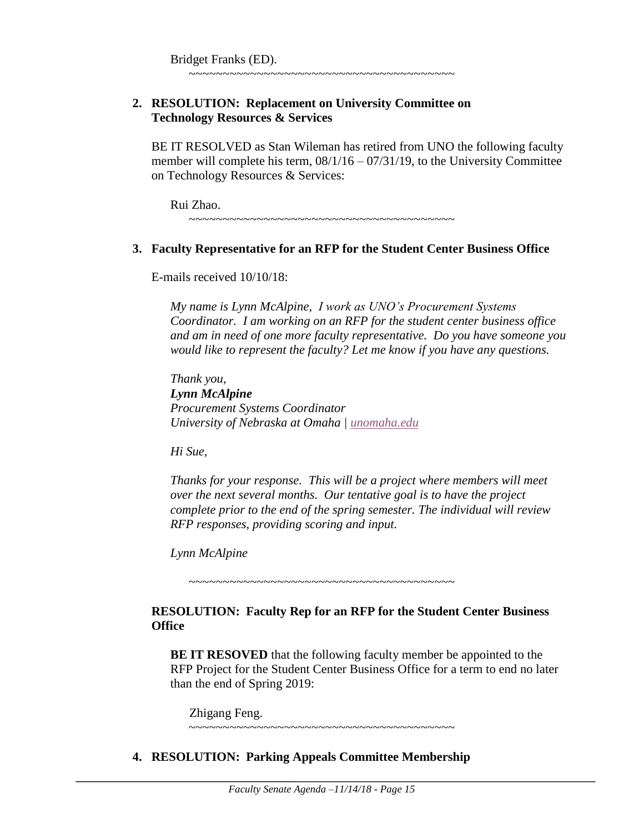#### **2. RESOLUTION: Replacement on University Committee on Technology Resources & Services**

BE IT RESOLVED as Stan Wileman has retired from UNO the following faculty member will complete his term,  $08/1/16 - 07/31/19$ , to the University Committee on Technology Resources & Services:

~~~~~~~~~~~~~~~~~~~~~~~~~~~~~~~~~~~~~~~

Rui Zhao. ~~~~~~~~~~~~~~~~~~~~~~~~~~~~~~~~~~~~~~~

#### **3. Faculty Representative for an RFP for the Student Center Business Office**

E-mails received 10/10/18:

*My name is Lynn McAlpine, I work as UNO's Procurement Systems Coordinator. I am working on an RFP for the student center business office and am in need of one more faculty representative. Do you have someone you would like to represent the faculty? Let me know if you have any questions.*

*Thank you, Lynn McAlpine Procurement Systems Coordinator University of Nebraska at Omaha | [unomaha.edu](http://unomaha.edu/)*

*Hi Sue,*

*Thanks for your response. This will be a project where members will meet over the next several months. Our tentative goal is to have the project complete prior to the end of the spring semester. The individual will review RFP responses, providing scoring and input.*

*Lynn McAlpine*

~~~~~~~~~~~~~~~~~~~~~~~~~~~~~~~~~~~~~

#### **RESOLUTION: Faculty Rep for an RFP for the Student Center Business Office**

**BE IT RESOVED** that the following faculty member be appointed to the RFP Project for the Student Center Business Office for a term to end no later than the end of Spring 2019:

Zhigang Feng.

~~~~~~~~~~~~~~~~~~~~~~~~~~~~~~~~~~~~~~~

#### **4. RESOLUTION: Parking Appeals Committee Membership**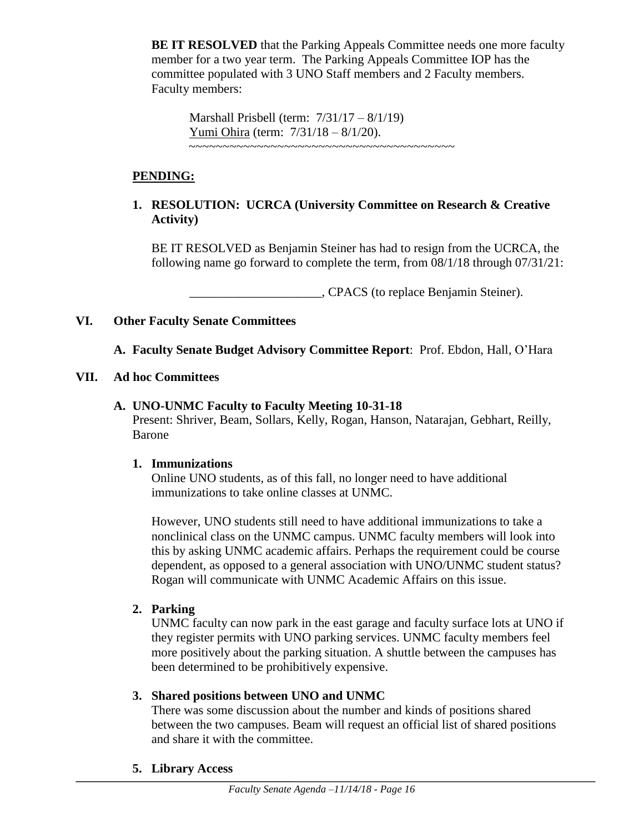**BE IT RESOLVED** that the Parking Appeals Committee needs one more faculty member for a two year term. The Parking Appeals Committee IOP has the committee populated with 3 UNO Staff members and 2 Faculty members. Faculty members:

Marshall Prisbell (term: 7/31/17 – 8/1/19) Yumi Ohira (term: 7/31/18 – 8/1/20). ~~~~~~~~~~~~~~~~~~~~~~~~~~~~~~~~~~~~~~~

# **PENDING:**

### **1. RESOLUTION: UCRCA (University Committee on Research & Creative Activity)**

BE IT RESOLVED as Benjamin Steiner has had to resign from the UCRCA, the following name go forward to complete the term, from 08/1/18 through 07/31/21:

\_\_\_\_\_\_\_\_\_\_\_\_\_\_\_\_\_\_\_\_\_, CPACS (to replace Benjamin Steiner).

**VI. Other Faculty Senate Committees**

**A. Faculty Senate Budget Advisory Committee Report**: Prof. Ebdon, Hall, O'Hara

**VII. Ad hoc Committees**

#### **A. UNO-UNMC Faculty to Faculty Meeting 10-31-18**

Present: Shriver, Beam, Sollars, Kelly, Rogan, Hanson, Natarajan, Gebhart, Reilly, Barone

#### **1. Immunizations**

Online UNO students, as of this fall, no longer need to have additional immunizations to take online classes at UNMC.

However, UNO students still need to have additional immunizations to take a nonclinical class on the UNMC campus. UNMC faculty members will look into this by asking UNMC academic affairs. Perhaps the requirement could be course dependent, as opposed to a general association with UNO/UNMC student status? Rogan will communicate with UNMC Academic Affairs on this issue.

#### **2. Parking**

UNMC faculty can now park in the east garage and faculty surface lots at UNO if they register permits with UNO parking services. UNMC faculty members feel more positively about the parking situation. A shuttle between the campuses has been determined to be prohibitively expensive.

#### **3. Shared positions between UNO and UNMC**

There was some discussion about the number and kinds of positions shared between the two campuses. Beam will request an official list of shared positions and share it with the committee.

**5. Library Access**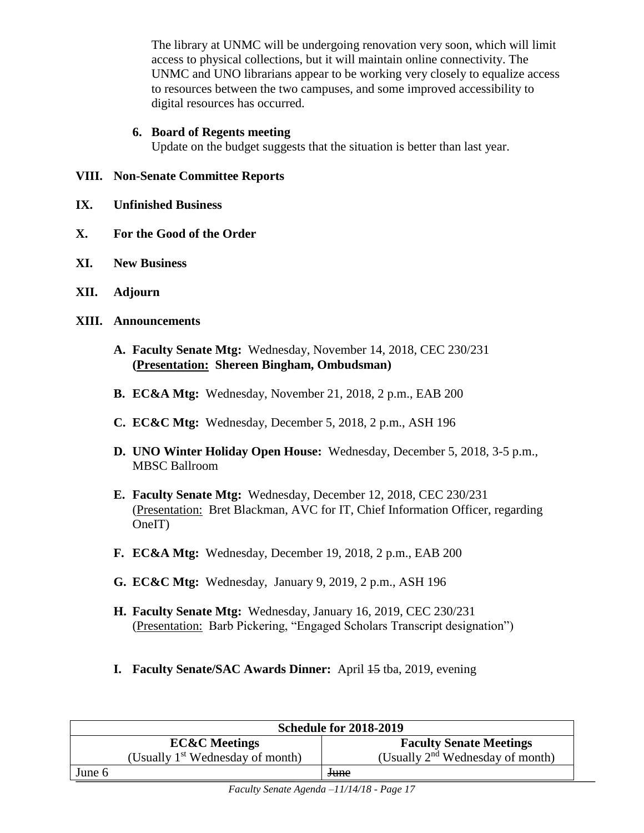The library at UNMC will be undergoing renovation very soon, which will limit access to physical collections, but it will maintain online connectivity. The UNMC and UNO librarians appear to be working very closely to equalize access to resources between the two campuses, and some improved accessibility to digital resources has occurred.

#### **6. Board of Regents meeting**

Update on the budget suggests that the situation is better than last year.

#### **VIII. Non-Senate Committee Reports**

- **IX. Unfinished Business**
- **X. For the Good of the Order**
- **XI. New Business**
- **XII. Adjourn**
- **XIII. Announcements**
	- **A. Faculty Senate Mtg:** Wednesday, November 14, 2018, CEC 230/231 **(Presentation: Shereen Bingham, Ombudsman)**
	- **B. EC&A Mtg:** Wednesday, November 21, 2018, 2 p.m., EAB 200
	- **C. EC&C Mtg:** Wednesday, December 5, 2018, 2 p.m., ASH 196
	- **D. UNO Winter Holiday Open House:** Wednesday, December 5, 2018, 3-5 p.m., MBSC Ballroom
	- **E. Faculty Senate Mtg:** Wednesday, December 12, 2018, CEC 230/231 (Presentation: Bret Blackman, AVC for IT, Chief Information Officer, regarding OneIT)
	- **F. EC&A Mtg:** Wednesday, December 19, 2018, 2 p.m., EAB 200
	- **G. EC&C Mtg:** Wednesday, January 9, 2019, 2 p.m., ASH 196
	- **H. Faculty Senate Mtg:** Wednesday, January 16, 2019, CEC 230/231 (Presentation: Barb Pickering, "Engaged Scholars Transcript designation")
	- **I. Faculty Senate/SAC Awards Dinner:** April 45 tba, 2019, evening

|        | <b>Schedule for 2018-2019</b>                |                                       |  |  |  |  |  |
|--------|----------------------------------------------|---------------------------------------|--|--|--|--|--|
|        | <b>EC&amp;C</b> Meetings                     | <b>Faculty Senate Meetings</b>        |  |  |  |  |  |
|        | (Usually 1 <sup>st</sup> Wednesday of month) | (Usually $2^{nd}$ Wednesday of month) |  |  |  |  |  |
| June 6 |                                              | <del>June</del>                       |  |  |  |  |  |